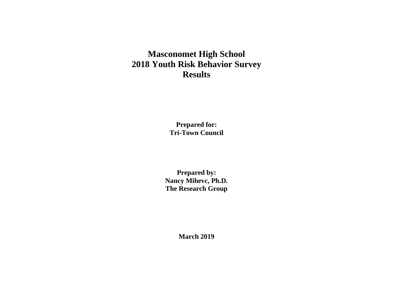# **Masconomet High School 2018 Youth Risk Behavior Survey Results**

**Prepared for: Tri-Town Council**

**Prepared by: Nancy Mihevc, Ph.D. The Research Group**

**March 2019**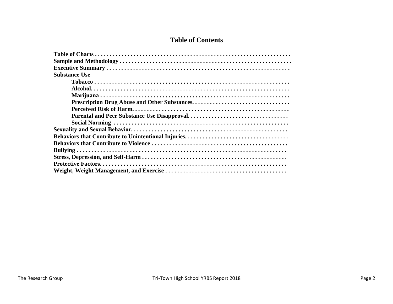# **Table of Contents**

| <b>Substance Use</b> |
|----------------------|
|                      |
|                      |
|                      |
|                      |
|                      |
|                      |
|                      |
|                      |
|                      |
|                      |
|                      |
|                      |
|                      |
|                      |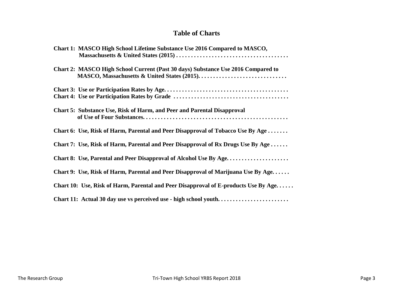## **Table of Charts**

| Chart 1: MASCO High School Lifetime Substance Use 2016 Compared to MASCO,           |
|-------------------------------------------------------------------------------------|
| Chart 2: MASCO High School Current (Past 30 days) Substance Use 2016 Compared to    |
|                                                                                     |
| Chart 5: Substance Use, Risk of Harm, and Peer and Parental Disapproval             |
| Chart 6: Use, Risk of Harm, Parental and Peer Disapproval of Tobacco Use By Age     |
| Chart 7: Use, Risk of Harm, Parental and Peer Disapproval of Rx Drugs Use By Age    |
| Chart 8: Use, Parental and Peer Disapproval of Alcohol Use By Age                   |
| Chart 9: Use, Risk of Harm, Parental and Peer Disapproval of Marijuana Use By Age   |
| Chart 10: Use, Risk of Harm, Parental and Peer Disapproval of E-products Use By Age |
| Chart 11: Actual 30 day use vs perceived use - high school youth                    |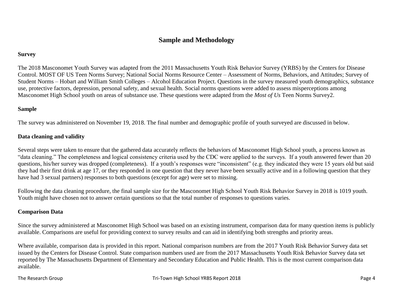## **Sample and Methodology**

#### **Survey**

The 2018 Masconomet Youth Survey was adapted from the 2011 Massachusetts Youth Risk Behavior Survey (YRBS) by the Centers for Disease Control. MOST OF US Teen Norms Survey; National Social Norms Resource Center – Assessment of Norms, Behaviors, and Attitudes; Survey of Student Norms – Hobart and William Smith Colleges – Alcohol Education Project. Questions in the survey measured youth demographics, substance use, protective factors, depression, personal safety, and sexual health. Social norms questions were added to assess misperceptions among Masconomet High School youth on areas of substance use. These questions were adapted from the *Most of Us* Teen Norms Survey2.

## **Sample**

The survey was administered on November 19, 2018. The final number and demographic profile of youth surveyed are discussed in below.

## **Data cleaning and validity**

Several steps were taken to ensure that the gathered data accurately reflects the behaviors of Masconomet High School youth, a process known as "data cleaning." The completeness and logical consistency criteria used by the CDC were applied to the surveys. If a youth answered fewer than 20 questions, his/her survey was dropped (completeness). If a youth's responses were "inconsistent" (e.g. they indicated they were 15 years old but said they had their first drink at age 17, or they responded in one question that they never have been sexually active and in a following question that they have had 3 sexual partners) responses to both questions (except for age) were set to missing.

Following the data cleaning procedure, the final sample size for the Masconomet High School Youth Risk Behavior Survey in 2018 is 1019 youth. Youth might have chosen not to answer certain questions so that the total number of responses to questions varies.

#### **Comparison Data**

Since the survey administered at Masconomet High School was based on an existing instrument, comparison data for many question items is publicly available. Comparisons are useful for providing context to survey results and can aid in identifying both strengths and priority areas.

Where available, comparison data is provided in this report. National comparison numbers are from the 2017 Youth Risk Behavior Survey data set issued by the Centers for Disease Control. State comparison numbers used are from the 2017 Massachusetts Youth Risk Behavior Survey data set reported by The Massachusetts Department of Elementary and Secondary Education and Public Health. This is the most current comparison data available.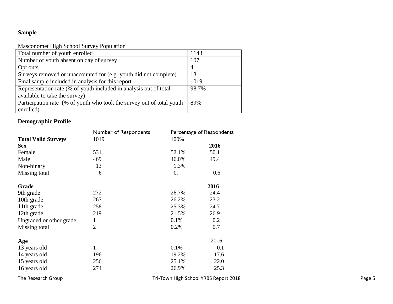## **Sample**

## Masconomet High School Survey Population

| Total number of youth enrolled                                        | 1143           |
|-----------------------------------------------------------------------|----------------|
| Number of youth absent on day of survey                               | 107            |
| Opt outs                                                              | $\overline{4}$ |
| Surveys removed or unaccounted for (e.g. youth did not complete)      | 13             |
| Final sample included in analysis for this report                     | 1019           |
| Representation rate (% of youth included in analysis out of total     | 98.7%          |
| available to take the survey)                                         |                |
| Participation rate (% of youth who took the survey out of total youth | 89%            |
| enrolled)                                                             |                |

## **Demographic Profile**

|                            | Number of Respondents<br>1019 | Percentage of Respondents |                                       |        |
|----------------------------|-------------------------------|---------------------------|---------------------------------------|--------|
| <b>Total Valid Surveys</b> |                               | 100%                      |                                       |        |
| <b>Sex</b>                 |                               |                           | 2016                                  |        |
| Female                     | 531                           | 52.1%                     | 50.1                                  |        |
| Male                       | 469                           | 46.0%                     | 49.4                                  |        |
| Non-binary                 | 13                            | 1.3%                      |                                       |        |
| Missing total              | 6                             | 0.                        | 0.6                                   |        |
| Grade                      |                               |                           | 2016                                  |        |
| 9th grade                  | 272                           | 26.7%                     | 24.4                                  |        |
| 10th grade                 | 267                           | 26.2%                     | 23.2                                  |        |
| 11th grade                 | 258                           | 25.3%                     | 24.7                                  |        |
| 12th grade                 | 219                           | 21.5%                     | 26.9                                  |        |
| Ungraded or other grade    | $\mathbf{1}$                  | 0.1%                      | 0.2                                   |        |
| Missing total              | $\overline{2}$                | 0.2%                      | 0.7                                   |        |
| Age                        |                               |                           | 2016                                  |        |
| 13 years old               |                               | 0.1%                      | 0.1                                   |        |
| 14 years old               | 196                           | 19.2%                     | 17.6                                  |        |
| 15 years old               | 256                           | 25.1%                     | 22.0                                  |        |
| 16 years old               | 274                           | 26.9%                     | 25.3                                  |        |
| The Research Group         |                               |                           | Tri-Town High School YRBS Report 2018 | Page 5 |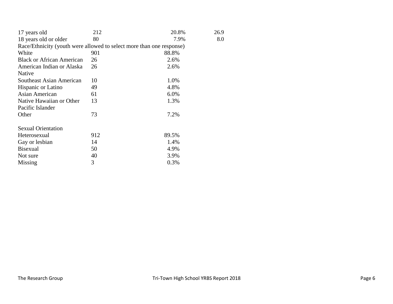| 17 years old                                                         | 212 | 20.8% | 26.9 |
|----------------------------------------------------------------------|-----|-------|------|
| 18 years old or older                                                | 80  | 7.9%  | 8.0  |
| Race/Ethnicity (youth were allowed to select more than one response) |     |       |      |
| White                                                                | 901 | 88.8% |      |
| <b>Black or African American</b>                                     | 26  | 2.6%  |      |
| American Indian or Alaska                                            | 26  | 2.6%  |      |
| Native                                                               |     |       |      |
| Southeast Asian American                                             | 10  | 1.0%  |      |
| Hispanic or Latino                                                   | 49  | 4.8%  |      |
| Asian American                                                       | 61  | 6.0%  |      |
| Native Hawaiian or Other                                             | 13  | 1.3%  |      |
| Pacific Islander                                                     |     |       |      |
| Other                                                                | 73  | 7.2%  |      |
| <b>Sexual Orientation</b>                                            |     |       |      |
| Heterosexual                                                         | 912 | 89.5% |      |
| Gay or lesbian                                                       | 14  | 1.4%  |      |
| <b>Bisexual</b>                                                      | 50  | 4.9%  |      |
| Not sure                                                             | 40  | 3.9%  |      |
| Missing                                                              | 3   | 0.3%  |      |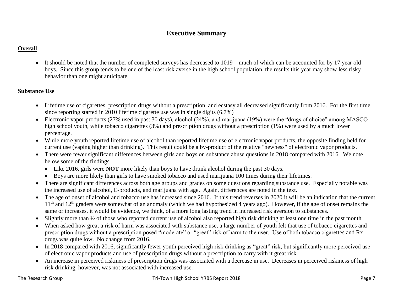## **Executive Summary**

## **Overall**

 It should be noted that the number of completed surveys has decreased to 1019 – much of which can be accounted for by 17 year old boys. Since this group tends to be one of the least risk averse in the high school population, the results this year may show less risky behavior than one might anticipate.

## **Substance Use**

- Lifetime use of cigarettes, prescription drugs without a prescription, and ecstasy all decreased significantly from 2016. For the first time since reporting started in 2010 lifetime cigarette use was in single digits (6.7%)
- Electronic vapor products (27% used in past 30 days), alcohol (24%), and marijuana (19%) were the "drugs of choice" among MASCO high school youth, while tobacco cigarettes (3%) and prescription drugs without a prescription (1%) were used by a much lower percentage.
- While more youth reported lifetime use of alcohol than reported lifetime use of electronic vapor products, the opposite finding held for current use (vaping higher than drinking). This result could be a by-product of the relative "newness" of electronic vapor products.
- There were fewer significant differences between girls and boys on substance abuse questions in 2018 compared with 2016. We note below some of the findings
	- Like 2016, girls were **NOT** more likely than boys to have drunk alcohol during the past 30 days.
	- Boys are more likely than girls to have smoked tobacco and used marijuana 100 times during their lifetimes.
- There are significant differences across both age groups and grades on some questions regarding substance use. Especially notable was the increased use of alcohol, E-products, and marijuana with age. Again, differences are noted in the text.
- The age of onset of alcohol and tobacco use has increased since 2016. If this trend reverses in 2020 it will be an indication that the current  $11<sup>th</sup>$  and  $12<sup>th</sup>$  graders were somewhat of an anomaly (which we had hypothesized 4 years ago). However, if the age of onset remains the same or increases, it would be evidence, we think, of a more long lasting trend in increased risk aversion to substances.
- Slightly more than  $\frac{1}{2}$  of those who reported current use of alcohol also reported high risk drinking at least one time in the past month.
- When asked how great a risk of harm was associated with substance use, a large number of youth felt that use of tobacco cigarettes and prescription drugs without a prescription posed "moderate" or "great" risk of harm to the user. Use of both tobacco cigarettes and Rx drugs was quite low. No change from 2016.
- In 2018 compared with 2016, significantly fewer youth perceived high risk drinking as "great" risk, but significantly more perceived use of electronic vapor products and use of prescription drugs without a prescription to carry with it great risk.
- An increase in perceived riskiness of prescription drugs was associated with a decrease in use. Decreases in perceived riskiness of high risk drinking, however, was not associated with increased use.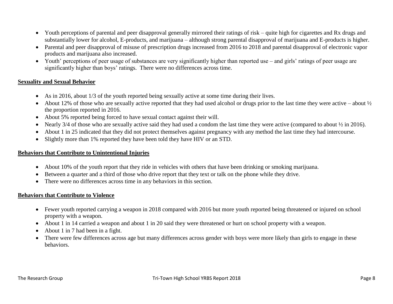- Youth perceptions of parental and peer disapproval generally mirrored their ratings of risk quite high for cigarettes and Rx drugs and substantially lower for alcohol, E-products, and marijuana – although strong parental disapproval of marijuana and E-products is higher.
- Parental and peer disapproval of misuse of prescription drugs increased from 2016 to 2018 and parental disapproval of electronic vapor products and marijuana also increased.
- Youth' perceptions of peer usage of substances are very significantly higher than reported use and girls' ratings of peer usage are significantly higher than boys' ratings. There were no differences across time.

## **Sexuality and Sexual Behavior**

- As in 2016, about 1/3 of the youth reported being sexually active at some time during their lives.
- About 12% of those who are sexually active reported that they had used alcohol or drugs prior to the last time they were active about  $\frac{1}{2}$ the proportion reported in 2016.
- About 5% reported being forced to have sexual contact against their will.
- Nearly 3/4 of those who are sexually active said they had used a condom the last time they were active (compared to about  $\frac{1}{2}$  in 2016).
- About 1 in 25 indicated that they did not protect themselves against pregnancy with any method the last time they had intercourse.
- Slightly more than 1% reported they have been told they have HIV or an STD.

### **Behaviors that Contribute to Unintentional Injuries**

- About 10% of the youth report that they ride in vehicles with others that have been drinking or smoking marijuana.
- Between a quarter and a third of those who drive report that they text or talk on the phone while they drive.
- There were no differences across time in any behaviors in this section.

#### **Behaviors that Contribute to Violence**

- Fewer youth reported carrying a weapon in 2018 compared with 2016 but more youth reported being threatened or injured on school property with a weapon.
- About 1 in 14 carried a weapon and about 1 in 20 said they were threatened or hurt on school property with a weapon.
- About 1 in 7 had been in a fight.
- There were few differences across age but many differences across gender with boys were more likely than girls to engage in these behaviors.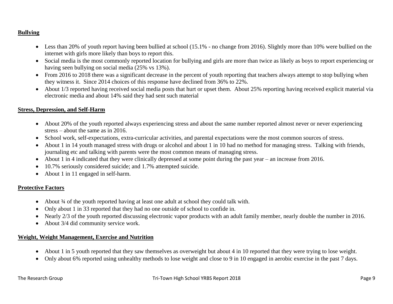## **Bullying**

- Less than 20% of youth report having been bullied at school (15.1% no change from 2016). Slightly more than 10% were bullied on the internet with girls more likely than boys to report this.
- Social media is the most commonly reported location for bullying and girls are more than twice as likely as boys to report experiencing or having seen bullying on social media (25% vs 13%).
- From 2016 to 2018 there was a significant decrease in the percent of youth reporting that teachers always attempt to stop bullying when they witness it. Since 2014 choices of this response have declined from 36% to 22%.
- About 1/3 reported having received social media posts that hurt or upset them. About 25% reporting having received explicit material via electronic media and about 14% said they had sent such material

## **Stress, Depression, and Self-Harm**

- About 20% of the youth reported always experiencing stress and about the same number reported almost never or never experiencing stress – about the same as in 2016.
- School work, self-expectations, extra-curricular activities, and parental expectations were the most common sources of stress.
- About 1 in 14 youth managed stress with drugs or alcohol and about 1 in 10 had no method for managing stress. Talking with friends, journaling etc and talking with parents were the most common means of managing stress.
- About 1 in 4 indicated that they were clinically depressed at some point during the past year an increase from 2016.
- 10.7% seriously considered suicide; and 1.7% attempted suicide.
- About 1 in 11 engaged in self-harm.

## **Protective Factors**

- About  $\frac{3}{4}$  of the youth reported having at least one adult at school they could talk with.
- Only about 1 in 33 reported that they had no one outside of school to confide in.
- Nearly 2/3 of the youth reported discussing electronic vapor products with an adult family member, nearly double the number in 2016.
- About 3/4 did community service work.

## **Weight, Weight Management, Exercise and Nutrition**

- About 1 in 5 youth reported that they saw themselves as overweight but about 4 in 10 reported that they were trying to lose weight.
- Only about 6% reported using unhealthy methods to lose weight and close to 9 in 10 engaged in aerobic exercise in the past 7 days.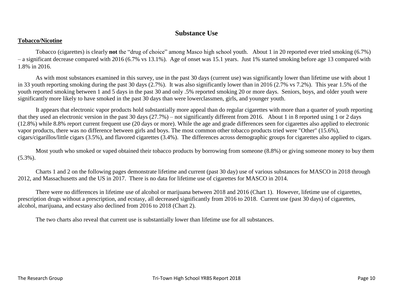## **Substance Use**

### **Tobacco/Nicotine**

Tobacco (cigarettes) is clearly **not** the "drug of choice" among Masco high school youth. About 1 in 20 reported ever tried smoking (6.7%) – a significant decrease compared with 2016 (6.7% vs 13.1%). Age of onset was 15.1 years. Just 1% started smoking before age 13 compared with 1.8% in 2016.

As with most substances examined in this survey, use in the past 30 days (current use) was significantly lower than lifetime use with about 1 in 33 youth reporting smoking during the past 30 days (2.7%). It was also significantly lower than in 2016 (2.7% vs 7.2%). This year 1.5% of the youth reported smoking between 1 and 5 days in the past 30 and only .5% reported smoking 20 or more days. Seniors, boys, and older youth were significantly more likely to have smoked in the past 30 days than were lowerclassmen, girls, and younger youth.

It appears that electronic vapor products hold substantially more appeal than do regular cigarettes with more than a quarter of youth reporting that they used an electronic version in the past 30 days (27.7%) – not significantly different from 2016. About 1 in 8 reported using 1 or 2 days (12.8%) while 8.8% report current frequent use (20 days or more). While the age and grade differences seen for cigarettes also applied to electronic vapor products, there was no difference between girls and boys. The most common other tobacco products tried were "Other" (15.6%), cigars/cigarillos/little cigars (3.5%), and flavored cigarettes (3.4%). The differences across demographic groups for cigarettes also applied to cigars.

Most youth who smoked or vaped obtained their tobacco products by borrowing from someone (8.8%) or giving someone money to buy them  $(5.3\%)$ .

Charts 1 and 2 on the following pages demonstrate lifetime and current (past 30 day) use of various substances for MASCO in 2018 through 2012, and Massachusetts and the US in 2017. There is no data for lifetime use of cigarettes for MASCO in 2014.

There were no differences in lifetime use of alcohol or marijuana between 2018 and 2016 (Chart 1). However, lifetime use of cigarettes, prescription drugs without a prescription, and ecstasy, all decreased significantly from 2016 to 2018. Current use (past 30 days) of cigarettes, alcohol, marijuana, and ecstasy also declined from 2016 to 2018 (Chart 2).

The two charts also reveal that current use is substantially lower than lifetime use for all substances.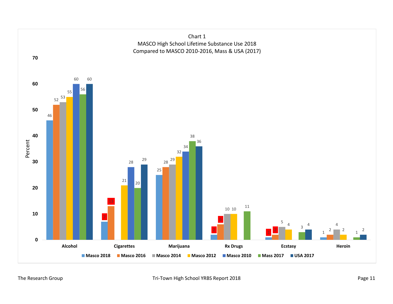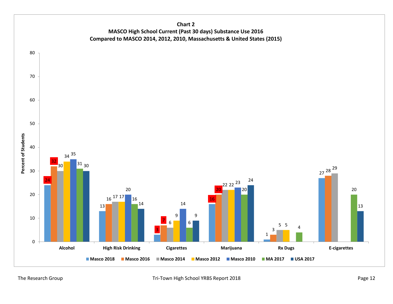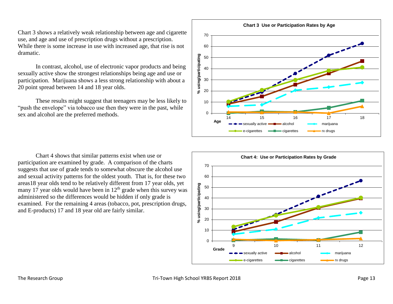Chart 3 shows a relatively weak relationship between age and cigarette use, and age and use of prescription drugs without a prescription. While there is some increase in use with increased age, that rise is not dramatic.

In contrast, alcohol, use of electronic vapor products and being sexually active show the strongest relationships being age and use or participation. Marijuana shows a less strong relationship with about a 20 point spread between 14 and 18 year olds.

These results might suggest that teenagers may be less likely to "push the envelope" via tobacco use then they were in the past, while sex and alcohol are the preferred methods.

Chart 4 shows that similar patterns exist when use or participation are examined by grade. A comparison of the charts suggests that use of grade tends to somewhat obscure the alcohol use and sexual activity patterns for the oldest youth. That is, for these two areas18 year olds tend to be relatively different from 17 year olds, yet many 17 year olds would have been in  $12<sup>th</sup>$  grade when this survey was administered so the differences would be hidden if only grade is examined. For the remaining 4 areas (tobacco, pot, prescription drugs, and E-products) 17 and 18 year old are fairly similar.



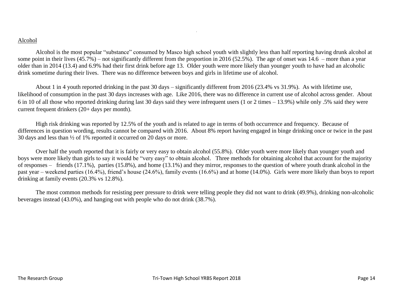#### Alcohol

Alcohol is the most popular "substance" consumed by Masco high school youth with slightly less than half reporting having drunk alcohol at some point in their lives  $(45.7%)$  – not significantly different from the proportion in 2016 (52.5%). The age of onset was 14.6 – more than a year older than in 2014 (13.4) and 6.9% had their first drink before age 13. Older youth were more likely than younger youth to have had an alcoholic drink sometime during their lives. There was no difference between boys and girls in lifetime use of alcohol.

.

About 1 in 4 youth reported drinking in the past 30 days – significantly different from 2016 (23.4% vs 31.9%). As with lifetime use, likelihood of consumption in the past 30 days increases with age. Like 2016, there was no difference in current use of alcohol across gender. About 6 in 10 of all those who reported drinking during last 30 days said they were infrequent users (1 or 2 times – 13.9%) while only .5% said they were current frequent drinkers (20+ days per month).

High risk drinking was reported by 12.5% of the youth and is related to age in terms of both occurrence and frequency. Because of differences in question wording, results cannot be compared with 2016. About 8% report having engaged in binge drinking once or twice in the past 30 days and less than ½ of 1% reported it occurred on 20 days or more.

Over half the youth reported that it is fairly or very easy to obtain alcohol (55.8%). Older youth were more likely than younger youth and boys were more likely than girls to say it would be "very easy" to obtain alcohol. Three methods for obtaining alcohol that account for the majority of responses – friends (17.1%), parties (15.8%), and home (13.1%) and they mirror, responses to the question of where youth drank alcohol in the past year – weekend parties (16.4%), friend's house (24.6%), family events (16.6%) and at home (14.0%). Girls were more likely than boys to report drinking at family events (20.3% vs 12.8%).

The most common methods for resisting peer pressure to drink were telling people they did not want to drink (49.9%), drinking non-alcoholic beverages instead (43.0%), and hanging out with people who do not drink (38.7%).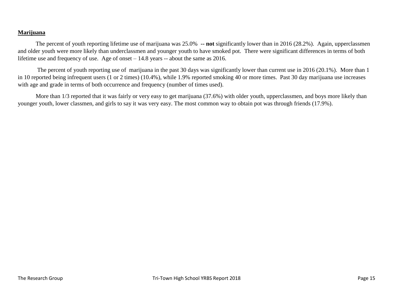## **Marijuana**

The percent of youth reporting lifetime use of marijuana was 25.0% **-- not** significantly lower than in 2016 (28.2%). Again, upperclassmen and older youth were more likely than underclassmen and younger youth to have smoked pot. There were significant differences in terms of both lifetime use and frequency of use. Age of onset – 14.8 years -- about the same as 2016.

The percent of youth reporting use of marijuana in the past 30 days was significantly lower than current use in 2016 (20.1%). More than 1 in 10 reported being infrequent users (1 or 2 times) (10.4%), while 1.9% reported smoking 40 or more times. Past 30 day marijuana use increases with age and grade in terms of both occurrence and frequency (number of times used).

More than 1/3 reported that it was fairly or very easy to get marijuana (37.6%) with older youth, upperclassmen, and boys more likely than younger youth, lower classmen, and girls to say it was very easy. The most common way to obtain pot was through friends (17.9%).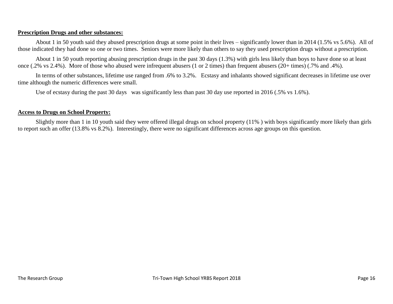## **Prescription Drugs and other substances:**

About 1 in 50 youth said they abused prescription drugs at some point in their lives – significantly lower than in 2014 (1.5% vs 5.6%). All of those indicated they had done so one or two times. Seniors were more likely than others to say they used prescription drugs without a prescription.

About 1 in 50 youth reporting abusing prescription drugs in the past 30 days (1.3%) with girls less likely than boys to have done so at least once (.2% vs 2.4%). More of those who abused were infrequent abusers (1 or 2 times) than frequent abusers (20+ times) (.7% and .4%).

In terms of other substances, lifetime use ranged from .6% to 3.2%. Ecstasy and inhalants showed significant decreases in lifetime use over time although the numeric differences were small.

Use of ecstasy during the past 30 days was significantly less than past 30 day use reported in 2016 (.5% vs 1.6%).

### **Access to Drugs on School Property:**

Slightly more than 1 in 10 youth said they were offered illegal drugs on school property (11% ) with boys significantly more likely than girls to report such an offer (13.8% vs 8.2%). Interestingly, there were no significant differences across age groups on this question.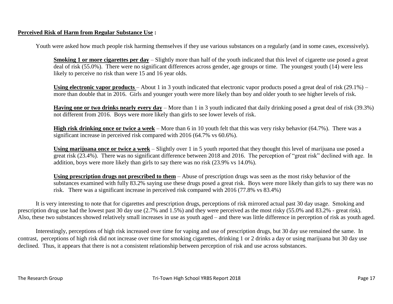## **Perceived Risk of Harm from Regular Substance Use :**

Youth were asked how much people risk harming themselves if they use various substances on a regularly (and in some cases, excessively).

**Smoking 1 or more cigarettes per day** – Slightly more than half of the youth indicated that this level of cigarette use posed a great deal of risk (55.0%). There were no significant differences across gender, age groups or time. The youngest youth (14) were less likely to perceive no risk than were 15 and 16 year olds.

**Using electronic vapor products** – About 1 in 3 youth indicated that electronic vapor products posed a great deal of risk (29.1%) – more than double that in 2016. Girls and younger youth were more likely than boy and older youth to see higher levels of risk.

**Having one or two drinks nearly every day** – More than 1 in 3 youth indicated that daily drinking posed a great deal of risk (39.3%) not different from 2016. Boys were more likely than girls to see lower levels of risk.

**High risk drinking once or twice a week** – More than 6 in 10 youth felt that this was very risky behavior (64.7%). There was a significant increase in perceived risk compared with 2016 (64.7% vs 60.6%).

**Using marijuana once or twice a week** – Slightly over 1 in 5 youth reported that they thought this level of marijuana use posed a great risk (23.4%). There was no significant difference between 2018 and 2016. The perception of "great risk" declined with age. In addition, boys were more likely than girls to say there was no risk (23.9% vs 14.0%).

**Using prescription drugs not prescribed to them** – Abuse of prescription drugs was seen as the most risky behavior of the substances examined with fully 83.2% saying use these drugs posed a great risk. Boys were more likely than girls to say there was no risk. There was a significant increase in perceived risk compared with 2016 (77.8% vs 83.4%)

It is very interesting to note that for cigarettes and prescription drugs, perceptions of risk mirrored actual past 30 day usage. Smoking and prescription drug use had the lowest past 30 day use (2.7% and 1.5%) and they were perceived as the most risky (55.0% and 83.2% - great risk). Also, these two substances showed relatively small increases in use as youth aged – and there was little difference in perception of risk as youth aged.

Interestingly, perceptions of high risk increased over time for vaping and use of prescription drugs, but 30 day use remained the same. In contrast, perceptions of high risk did not increase over time for smoking cigarettes, drinking 1 or 2 drinks a day or using marijuana but 30 day use declined. Thus, it appears that there is not a consistent relationship between perception of risk and use across substances.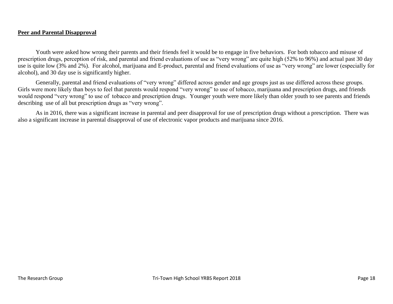### **Peer and Parental Disapproval**

Youth were asked how wrong their parents and their friends feel it would be to engage in five behaviors. For both tobacco and misuse of prescription drugs, perception of risk, and parental and friend evaluations of use as "very wrong" are quite high (52% to 96%) and actual past 30 day use is quite low (3% and 2%). For alcohol, marijuana and E-product, parental and friend evaluations of use as "very wrong" are lower (especially for alcohol), and 30 day use is significantly higher.

Generally, parental and friend evaluations of "very wrong" differed across gender and age groups just as use differed across these groups. Girls were more likely than boys to feel that parents would respond "very wrong" to use of tobacco, marijuana and prescription drugs, and friends would respond "very wrong" to use of tobacco and prescription drugs. Younger youth were more likely than older youth to see parents and friends describing use of all but prescription drugs as "very wrong".

As in 2016, there was a significant increase in parental and peer disapproval for use of prescription drugs without a prescription. There was also a significant increase in parental disapproval of use of electronic vapor products and marijuana since 2016.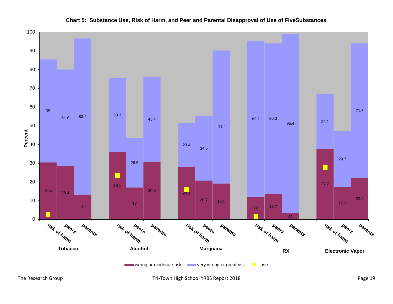

## **Chart 5: Substance Use, Risk of Harm, and Peer and Parental Disapproval of Use of FiveSubstances**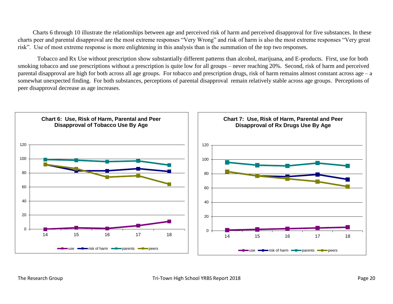Charts 6 through 10 illustrate the relationships between age and perceived risk of harm and perceived disapproval for five substances. In these charts peer and parental disapproval are the most extreme responses "Very Wrong" and risk of harm is also the most extreme responses "Very great risk". Use of most extreme response is more enlightening in this analysis than is the summation of the top two responses.

Tobacco and Rx Use without prescription show substantially different patterns than alcohol, marijuana, and E-products. First, use for both smoking tobacco and use prescriptions without a prescription is quite low for all groups – never reaching 20%. Second, risk of harm and perceived parental disapproval are high for both across all age groups. For tobacco and prescription drugs, risk of harm remains almost constant across age – a somewhat unexpected finding. For both substances, perceptions of parental disapproval remain relatively stable across age groups. Perceptions of peer disapproval decrease as age increases.

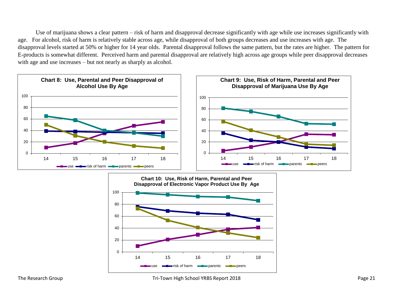Use of marijuana shows a clear pattern – risk of harm and disapproval decrease significantly with age while use increases significantly with age. For alcohol, risk of harm is relatively stable across age, while disapproval of both groups decreases and use increases with age. The disapproval levels started at 50% or higher for 14 year olds. Parental disapproval follows the same pattern, but the rates are higher. The pattern for E-products is somewhat different. Perceived harm and parental disapproval are relatively high across age groups while peer disapproval decreases with age and use increases – but not nearly as sharply as alcohol.



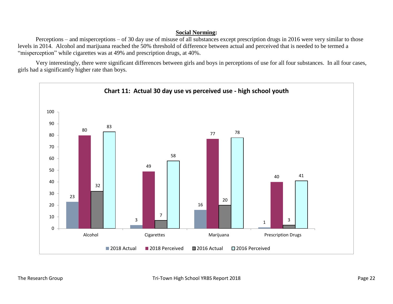## **Social Norming:**

Perceptions – and misperceptions – of 30 day use of misuse of all substances except prescription drugs in 2016 were very similar to those levels in 2014. Alcohol and marijuana reached the 50% threshold of difference between actual and perceived that is needed to be termed a "misperception" while cigarettes was at 49% and prescription drugs, at 40%.

Very interestingly, there were significant differences between girls and boys in perceptions of use for all four substances. In all four cases, girls had a significantly higher rate than boys.

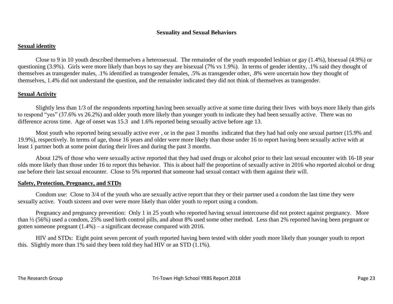## **Sexuality and Sexual Behaviors**

### **Sexual identity**

Close to 9 in 10 youth described themselves a heterosexual. The remainder of the youth responded lesbian or gay (1.4%), bisexual (4.9%) or questioning (3.9%). Girls were more likely than boys to say they are bisexual (7% vs 1.9%). In terms of gender identity, .1% said they thought of themselves as transgender males, .1% identified as transgender females, .5% as transgender other, .8% were uncertain how they thought of themselves, 1.4% did not understand the question, and the remainder indicated they did not think of themselves as transgender.

## **Sexual Activity**

Slightly less than 1/3 of the respondents reporting having been sexually active at some time during their lives with boys more likely than girls to respond "yes" (37.6% vs 26.2%) and older youth more likely than younger youth to indicate they had been sexually active. There was no difference across time. Age of onset was 15.3 and 1.6% reported being sexually active before age 13.

Most youth who reported being sexually active ever , or in the past 3 months indicated that they had had only one sexual partner (15.9% and 19.9%), respectively. In terms of age, those 16 years and older were more likely than those under 16 to report having been sexually active with at least 1 partner both at some point during their lives and during the past 3 months.

About 12% of those who were sexually active reported that they had used drugs or alcohol prior to their last sexual encounter with 16-18 year olds more likely than those under 16 to report this behavior. This is about half the proportion of sexually active in 2016 who reported alcohol or drug use before their last sexual encounter. Close to 5% reported that someone had sexual contact with them against their will.

#### **Safety, Protection, Pregnancy, and STDs**

Condom use: Close to 3/4 of the youth who are sexually active report that they or their partner used a condom the last time they were sexually active. Youth sixteen and over were more likely than older youth to report using a condom.

Pregnancy and pregnancy prevention: Only 1 in 25 youth who reported having sexual intercourse did not protect against pregnancy. More than ½ (56%) used a condom, 25% used birth control pills, and about 8% used some other method. Less than 2% reported having been pregnant or gotten someone pregnant (1.4%) – a significant decrease compared with 2016.

HIV and STDs: Eight point seven percent of youth reported having been tested with older youth more likely than younger youth to report this. Slightly more than 1% said they been told they had HIV or an STD (1.1%).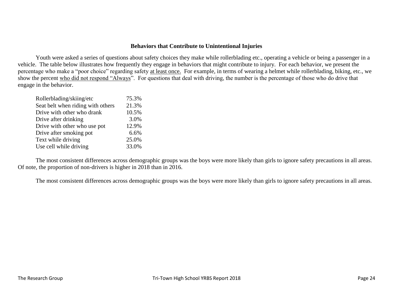### **Behaviors that Contribute to Unintentional Injuries**

Youth were asked a series of questions about safety choices they make while rollerblading etc., operating a vehicle or being a passenger in a vehicle. The table below illustrates how frequently they engage in behaviors that might contribute to injury. For each behavior, we present the percentage who make a "poor choice" regarding safety at least once. For example, in terms of wearing a helmet while rollerblading, biking, etc., we show the percent who did not respond "Always". For questions that deal with driving, the number is the percentage of those who do drive that engage in the behavior.

| Rollerblading/skiing/etc          | 75.3% |
|-----------------------------------|-------|
| Seat belt when riding with others | 21.3% |
| Drive with other who drank        | 10.5% |
| Drive after drinking              | 3.0%  |
| Drive with other who use pot      | 12.9% |
| Drive after smoking pot           | 6.6%  |
| Text while driving                | 25.0% |
| Use cell while driving            | 33.0% |

The most consistent differences across demographic groups was the boys were more likely than girls to ignore safety precautions in all areas. Of note, the proportion of non-drivers is higher in 2018 than in 2016.

The most consistent differences across demographic groups was the boys were more likely than girls to ignore safety precautions in all areas.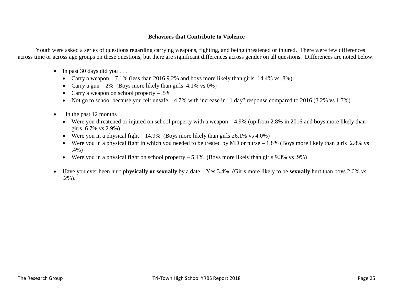## **Behaviors that Contribute to Violence**

Youth were asked a series of questions regarding carrying weapons, fighting, and being threatened or injured. There were few differences across time or across age groups on these questions, but there are significant differences across gender on all questions. Differences are noted below.

- $\bullet$  In past 30 days did you . . .
	- Carry a weapon  $-7.1\%$  (less than 2016 9.2% and boys more likely than girls 14.4% vs .8%)
	- Carry a gun 2% (Boys more likely than girls  $4.1\%$  vs 0%)
	- Carry a weapon on school property  $-.5\%$
	- Not go to school because you felt unsafe  $-4.7\%$  with increase in "1 day" response compared to 2016 (3.2% vs 1.7%)
- $\bullet$  In the past 12 months ...
	- Were you threatened or injured on school property with a weapon  $-4.9\%$  (up from 2.8% in 2016 and boys more likely than girls 6.7% vs 2.9%)
	- Were you in a physical fight  $-14.9\%$  (Boys more likely than girls 26.1% vs 4.0%)
	- Were you in a physical fight in which you needed to be treated by MD or nurse  $-1.8\%$  (Boys more likely than girls 2.8% vs .4%)
	- Were you in a physical fight on school property  $-5.1\%$  (Boys more likely than girls 9.3% vs .9%)
- Have you ever been hurt **physically or sexually** by a date Yes 3.4% (Girls more likely to be **sexually** hurt than boys 2.6% vs .2%).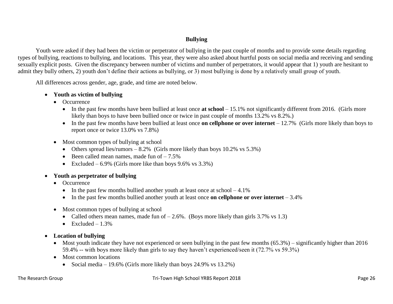## **Bullying**

Youth were asked if they had been the victim or perpetrator of bullying in the past couple of months and to provide some details regarding types of bullying, reactions to bullying, and locations. This year, they were also asked about hurtful posts on social media and receiving and sending sexually explicit posts. Given the discrepancy between number of victims and number of perpetrators, it would appear that 1) youth are hesitant to admit they bully others, 2) youth don't define their actions as bullying, or 3) most bullying is done by a relatively small group of youth.

All differences across gender, age, grade, and time are noted below.

## **Youth as victim of bullying**

- Occurrence
	- In the past few months have been bullied at least once **at school** 15.1% not significantly different from 2016. (Girls more likely than boys to have been bullied once or twice in past couple of months 13.2% vs 8.2%.)
	- In the past few months have been bullied at least once **on cellphone or over internet** 12.7% (Girls more likely than boys to report once or twice 13.0% vs 7.8%)
- Most common types of bullying at school
	- Others spread lies/rumors  $-8.2\%$  (Girls more likely than boys 10.2% vs 5.3%)
	- $\bullet$  Been called mean names, made fun of  $-7.5\%$
	- Excluded 6.9% (Girls more like than boys  $9.6\%$  vs  $3.3\%$ )

## **Youth as perpetrator of bullying**

- Occurrence
	- In the past few months bullied another youth at least once at school  $-4.1\%$
	- In the past few months bullied another youth at least once **on cellphone or over internet** 3.4%
- Most common types of bullying at school
	- Called others mean names, made fun of  $-2.6\%$ . (Boys more likely than girls 3.7% vs 1.3)
	- $\bullet$  Excluded 1.3%
- **Location of bullying**
	- Most youth indicate they have not experienced or seen bullying in the past few months  $(65.3%)$  significantly higher than 2016 59.4% -- with boys more likely than girls to say they haven't experienced/seen it (72.7% vs 59.3%)
	- Most common locations
		- Social media 19.6% (Girls more likely than boys  $24.9\%$  vs  $13.2\%$ )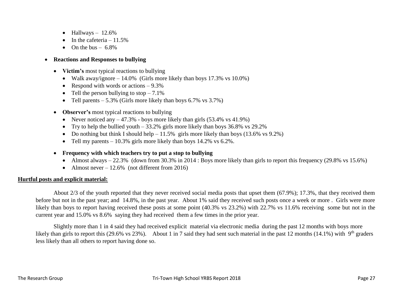- $\bullet$  Hallways 12.6%
- $\bullet$  In the cafeteria 11.5%
- $\bullet$  On the bus 6.8%

## **Reactions and Responses to bullying**

- Victim's most typical reactions to bullying
	- Walk away/ignore  $-14.0\%$  (Girls more likely than boys 17.3% vs 10.0%)
	- Respond with words or actions  $-9.3\%$
	- Tell the person bullying to stop  $-7.1\%$
	- Tell parents  $-5.3\%$  (Girls more likely than boys 6.7% vs 3.7%)
- **Observer's** most typical reactions to bullying
	- Never noticed any  $-47.3\%$  boys more likely than girls (53.4% vs 41.9%)
	- Try to help the bullied youth  $-33.2\%$  girls more likely than boys 36.8% vs 29.2%
	- Do nothing but think I should help  $-11.5\%$  girls more likely than boys (13.6% vs 9.2%)
	- Tell my parents  $-10.3\%$  girls more likely than boys 14.2% vs 6.2%.
- **Frequency with which teachers try to put a stop to bullying** 
	- Almost always  $-22.3\%$  (down from 30.3% in 2014 : Boys more likely than girls to report this frequency (29.8% vs 15.6%)
	- Almost never  $-12.6\%$  (not different from 2016)

#### **Hurtful posts and explicit material:**

About 2/3 of the youth reported that they never received social media posts that upset them (67.9%); 17.3%, that they received them before but not in the past year; and 14.8%, in the past year. About 1% said they received such posts once a week or more . Girls were more likely than boys to report having received these posts at some point (40.3% vs 23.2%) with 22.7% vs 11.6% receiving some but not in the current year and 15.0% vs 8.6% saying they had received them a few times in the prior year.

Slightly more than 1 in 4 said they had received explicit material via electronic media during the past 12 months with boys more likely than girls to report this (29.6% vs 23%). About 1 in 7 said they had sent such material in the past 12 months (14.1%) with 9<sup>th</sup> graders less likely than all others to report having done so.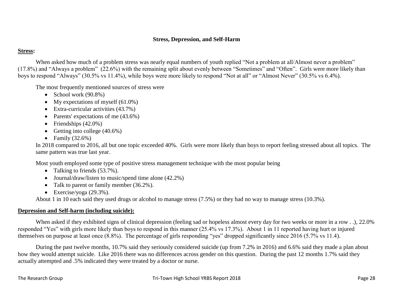## **Stress, Depression, and Self-Harm**

## **Stress:**

When asked how much of a problem stress was nearly equal numbers of youth replied "Not a problem at all/Almost never a problem" (17.8%) and "Always a problem" (22.6%) with the remaining split about evenly between "Sometimes" and "Often". Girls were more likely than boys to respond "Always" (30.5% vs 11.4%), while boys were more likely to respond "Not at all" or "Almost Never" (30.5% vs 6.4%).

The most frequently mentioned sources of stress were

- School work  $(90.8\%)$
- My expectations of myself  $(61.0\%)$
- Extra-curricular activities (43.7%)
- Parents' expectations of me  $(43.6\%)$
- Friendships  $(42.0\%)$
- Getting into college  $(40.6\%)$
- Family  $(32.6\%)$

In 2018 compared to 2016, all but one topic exceeded 40%. Girls were more likely than boys to report feeling stressed about all topics. The same pattern was true last year.

Most youth employed some type of positive stress management technique with the most popular being

- Talking to friends  $(53.7\%)$ .
- Journal/draw/listen to music/spend time alone  $(42.2\%)$
- Talk to parent or family member (36.2%).
- Exercise/yoga  $(29.3\%)$ .

About 1 in 10 each said they used drugs or alcohol to manage stress (7.5%) or they had no way to manage stress (10.3%).

## **Depression and Self-harm (including suicide):**

When asked if they exhibited signs of clinical depression (feeling sad or hopeless almost every day for two weeks or more in a row . .), 22.0% responded "Yes" with girls more likely than boys to respond in this manner (25.4% vs 17.3%). About 1 in 11 reported having hurt or injured themselves on purpose at least once (8.8%). The percentage of girls responding "yes" dropped significantly since 2016 (5.7% vs 11.4).

During the past twelve months, 10.7% said they seriously considered suicide (up from 7.2% in 2016) and 6.6% said they made a plan about how they would attempt suicide. Like 2016 there was no differences across gender on this question. During the past 12 months 1.7% said they actually attempted and .5% indicated they were treated by a doctor or nurse.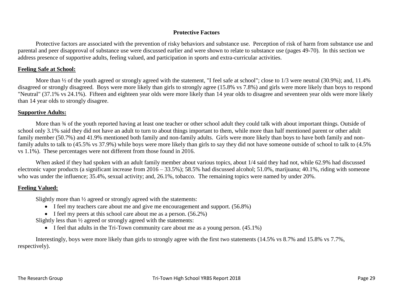## **Protective Factors**

Protective factors are associated with the prevention of risky behaviors and substance use. Perception of risk of harm from substance use and parental and peer disapproval of substance use were discussed earlier and were shown to relate to substance use (pages 49-70). In this section we address presence of supportive adults, feeling valued, and participation in sports and extra-curricular activities.

## **Feeling Safe at School:**

More than  $\frac{1}{2}$  of the youth agreed or strongly agreed with the statement, "I feel safe at school"; close to 1/3 were neutral (30.9%); and, 11.4% disagreed or strongly disagreed. Boys were more likely than girls to strongly agree (15.8% vs 7.8%) and girls were more likely than boys to respond "Neutral" (37.1% vs 24.1%). Fifteen and eighteen year olds were more likely than 14 year olds to disagree and seventeen year olds were more likely than 14 year olds to strongly disagree.

## **Supportive Adults:**

More than  $\frac{3}{4}$  of the youth reported having at least one teacher or other school adult they could talk with about important things. Outside of school only 3.1% said they did not have an adult to turn to about things important to them, while more than half mentioned parent or other adult family member (50.7%) and 41.9% mentioned both family and non-family adults. Girls were more likely than boys to have both family and nonfamily adults to talk to (45.5% vs 37.9%) while boys were more likely than girls to say they did not have someone outside of school to talk to (4.5% vs 1.1%). These percentages were not different from those found in 2016.

When asked if they had spoken with an adult family member about various topics, about 1/4 said they had not, while 62.9% had discussed electronic vapor products (a significant increase from 2016 – 33.5%); 58.5% had discussed alcohol; 51.0%, marijuana; 40.1%, riding with someone who was under the influence; 35.4%, sexual activity; and, 26.1%, tobacco. The remaining topics were named by under 20%.

## **Feeling Valued:**

Slightly more than ½ agreed or strongly agreed with the statements:

- I feel my teachers care about me and give me encouragement and support. (56.8%)
- $\bullet$  I feel my peers at this school care about me as a person. (56.2%)

Slightly less than ½ agreed or strongly agreed with the statements:

 $\bullet$  I feel that adults in the Tri-Town community care about me as a young person. (45.1%)

Interestingly, boys were more likely than girls to strongly agree with the first two statements (14.5% vs 8.7% and 15.8% vs 7.7%, respectively).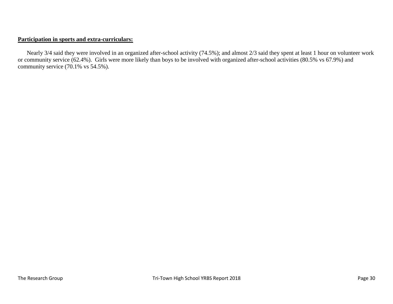## **Participation in sports and extra-curriculars:**

Nearly 3/4 said they were involved in an organized after-school activity (74.5%); and almost 2/3 said they spent at least 1 hour on volunteer work or community service (62.4%). Girls were more likely than boys to be involved with organized after-school activities (80.5% vs 67.9%) and community service (70.1% vs 54.5%).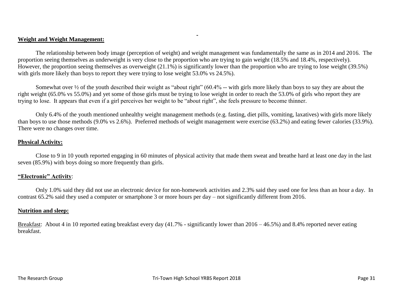### **Weight and Weight Management:**

The relationship between body image (perception of weight) and weight management was fundamentally the same as in 2014 and 2016. The proportion seeing themselves as underweight is very close to the proportion who are trying to gain weight (18.5% and 18.4%, respectively). However, the proportion seeing themselves as overweight (21.1%) is significantly lower than the proportion who are trying to lose weight (39.5%) with girls more likely than boys to report they were trying to lose weight 53.0% vs 24.5%).

 $\blacksquare$ 

Somewhat over ½ of the youth described their weight as "about right" (60.4% -- with girls more likely than boys to say they are about the right weight (65.0% vs 55.0%) and yet some of those girls must be trying to lose weight in order to reach the 53.0% of girls who report they are trying to lose. It appears that even if a girl perceives her weight to be "about right", she feels pressure to become thinner.

Only 6.4% of the youth mentioned unhealthy weight management methods (e.g. fasting, diet pills, vomiting, laxatives) with girls more likely than boys to use those methods (9.0% vs 2.6%). Preferred methods of weight management were exercise (63.2%) and eating fewer calories (33.9%). There were no changes over time.

#### **Physical Activity:**

Close to 9 in 10 youth reported engaging in 60 minutes of physical activity that made them sweat and breathe hard at least one day in the last seven (85.9%) with boys doing so more frequently than girls.

#### **"Electronic" Activity**:

Only 1.0% said they did not use an electronic device for non-homework activities and 2.3% said they used one for less than an hour a day. In contrast 65.2% said they used a computer or smartphone 3 or more hours per day – not significantly different from 2016.

#### **Nutrition and sleep:**

Breakfast: About 4 in 10 reported eating breakfast every day (41.7% - significantly lower than 2016 – 46.5%) and 8.4% reported never eating breakfast.